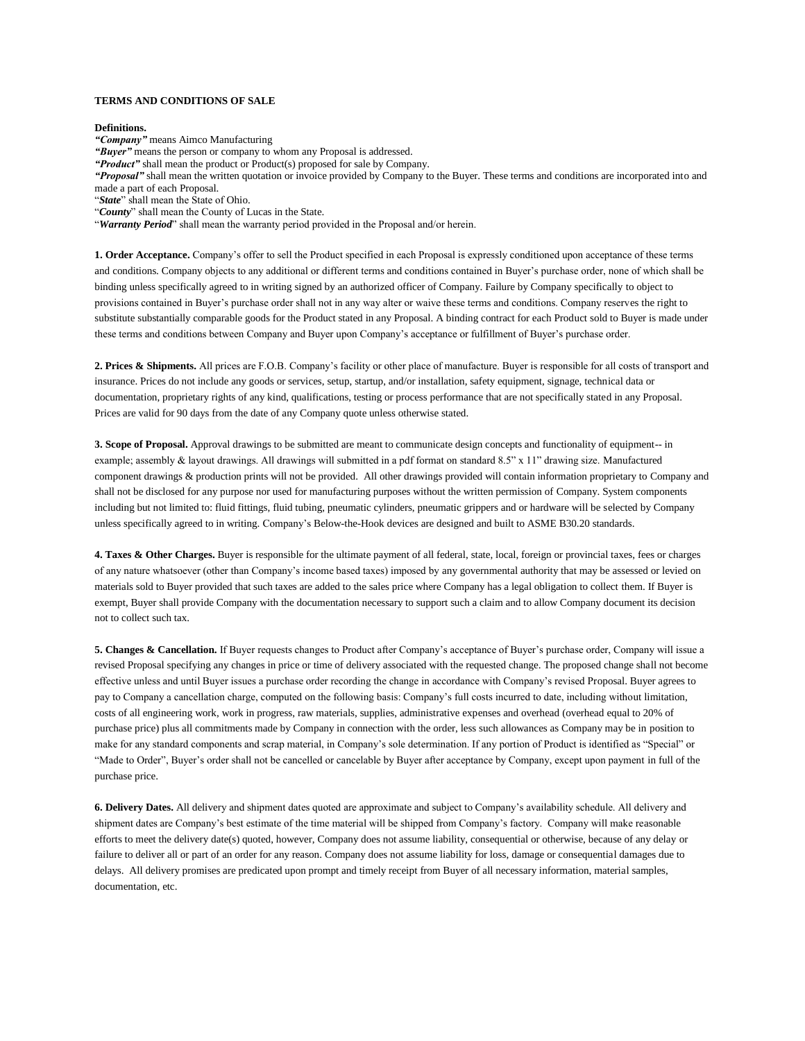## **TERMS AND CONDITIONS OF SALE**

**Definitions.** 

*"Company"* means Aimco Manufacturing

"Buyer" means the person or company to whom any Proposal is addressed.

*"Product"* shall mean the product or Product(s) proposed for sale by Company.

*"Proposal"* shall mean the written quotation or invoice provided by Company to the Buyer. These terms and conditions are incorporated into and made a part of each Proposal.

"*State*" shall mean the State of Ohio.

"*County*" shall mean the County of Lucas in the State.

"*Warranty Period*" shall mean the warranty period provided in the Proposal and/or herein.

**1. Order Acceptance.** Company's offer to sell the Product specified in each Proposal is expressly conditioned upon acceptance of these terms and conditions. Company objects to any additional or different terms and conditions contained in Buyer's purchase order, none of which shall be binding unless specifically agreed to in writing signed by an authorized officer of Company. Failure by Company specifically to object to provisions contained in Buyer's purchase order shall not in any way alter or waive these terms and conditions. Company reserves the right to substitute substantially comparable goods for the Product stated in any Proposal. A binding contract for each Product sold to Buyer is made under these terms and conditions between Company and Buyer upon Company's acceptance or fulfillment of Buyer's purchase order.

**2. Prices & Shipments.** All prices are F.O.B. Company's facility or other place of manufacture. Buyer is responsible for all costs of transport and insurance. Prices do not include any goods or services, setup, startup, and/or installation, safety equipment, signage, technical data or documentation, proprietary rights of any kind, qualifications, testing or process performance that are not specifically stated in any Proposal. Prices are valid for 90 days from the date of any Company quote unless otherwise stated.

**3. Scope of Proposal.** Approval drawings to be submitted are meant to communicate design concepts and functionality of equipment-- in example; assembly & layout drawings. All drawings will submitted in a pdf format on standard 8.5" x 11" drawing size. Manufactured component drawings & production prints will not be provided. All other drawings provided will contain information proprietary to Company and shall not be disclosed for any purpose nor used for manufacturing purposes without the written permission of Company. System components including but not limited to: fluid fittings, fluid tubing, pneumatic cylinders, pneumatic grippers and or hardware will be selected by Company unless specifically agreed to in writing. Company's Below-the-Hook devices are designed and built to ASME B30.20 standards.

**4. Taxes & Other Charges.** Buyer is responsible for the ultimate payment of all federal, state, local, foreign or provincial taxes, fees or charges of any nature whatsoever (other than Company's income based taxes) imposed by any governmental authority that may be assessed or levied on materials sold to Buyer provided that such taxes are added to the sales price where Company has a legal obligation to collect them. If Buyer is exempt, Buyer shall provide Company with the documentation necessary to support such a claim and to allow Company document its decision not to collect such tax.

**5. Changes & Cancellation.** If Buyer requests changes to Product after Company's acceptance of Buyer's purchase order, Company will issue a revised Proposal specifying any changes in price or time of delivery associated with the requested change. The proposed change shall not become effective unless and until Buyer issues a purchase order recording the change in accordance with Company's revised Proposal. Buyer agrees to pay to Company a cancellation charge, computed on the following basis: Company's full costs incurred to date, including without limitation, costs of all engineering work, work in progress, raw materials, supplies, administrative expenses and overhead (overhead equal to 20% of purchase price) plus all commitments made by Company in connection with the order, less such allowances as Company may be in position to make for any standard components and scrap material, in Company's sole determination. If any portion of Product is identified as "Special" or "Made to Order", Buyer's order shall not be cancelled or cancelable by Buyer after acceptance by Company, except upon payment in full of the purchase price.

**6. Delivery Dates.** All delivery and shipment dates quoted are approximate and subject to Company's availability schedule. All delivery and shipment dates are Company's best estimate of the time material will be shipped from Company's factory. Company will make reasonable efforts to meet the delivery date(s) quoted, however, Company does not assume liability, consequential or otherwise, because of any delay or failure to deliver all or part of an order for any reason. Company does not assume liability for loss, damage or consequential damages due to delays. All delivery promises are predicated upon prompt and timely receipt from Buyer of all necessary information, material samples, documentation, etc.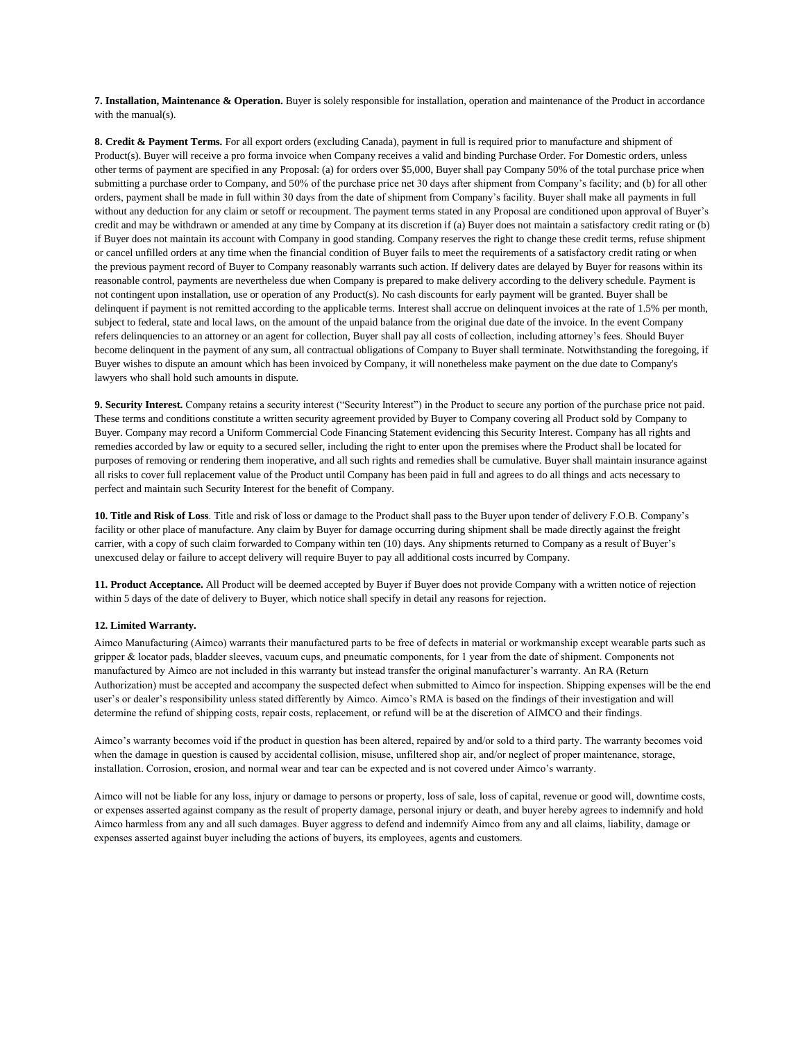**7. Installation, Maintenance & Operation.** Buyer is solely responsible for installation, operation and maintenance of the Product in accordance with the manual(s).

**8. Credit & Payment Terms.** For all export orders (excluding Canada), payment in full is required prior to manufacture and shipment of Product(s). Buyer will receive a pro forma invoice when Company receives a valid and binding Purchase Order. For Domestic orders, unless other terms of payment are specified in any Proposal: (a) for orders over \$5,000, Buyer shall pay Company 50% of the total purchase price when submitting a purchase order to Company, and 50% of the purchase price net 30 days after shipment from Company's facility; and (b) for all other orders, payment shall be made in full within 30 days from the date of shipment from Company's facility. Buyer shall make all payments in full without any deduction for any claim or setoff or recoupment. The payment terms stated in any Proposal are conditioned upon approval of Buyer's credit and may be withdrawn or amended at any time by Company at its discretion if (a) Buyer does not maintain a satisfactory credit rating or (b) if Buyer does not maintain its account with Company in good standing. Company reserves the right to change these credit terms, refuse shipment or cancel unfilled orders at any time when the financial condition of Buyer fails to meet the requirements of a satisfactory credit rating or when the previous payment record of Buyer to Company reasonably warrants such action. If delivery dates are delayed by Buyer for reasons within its reasonable control, payments are nevertheless due when Company is prepared to make delivery according to the delivery schedule. Payment is not contingent upon installation, use or operation of any Product(s). No cash discounts for early payment will be granted. Buyer shall be delinquent if payment is not remitted according to the applicable terms. Interest shall accrue on delinquent invoices at the rate of 1.5% per month, subject to federal, state and local laws, on the amount of the unpaid balance from the original due date of the invoice. In the event Company refers delinquencies to an attorney or an agent for collection, Buyer shall pay all costs of collection, including attorney's fees. Should Buyer become delinquent in the payment of any sum, all contractual obligations of Company to Buyer shall terminate. Notwithstanding the foregoing, if Buyer wishes to dispute an amount which has been invoiced by Company, it will nonetheless make payment on the due date to Company's lawyers who shall hold such amounts in dispute.

**9. Security Interest.** Company retains a security interest ("Security Interest") in the Product to secure any portion of the purchase price not paid. These terms and conditions constitute a written security agreement provided by Buyer to Company covering all Product sold by Company to Buyer. Company may record a Uniform Commercial Code Financing Statement evidencing this Security Interest. Company has all rights and remedies accorded by law or equity to a secured seller, including the right to enter upon the premises where the Product shall be located for purposes of removing or rendering them inoperative, and all such rights and remedies shall be cumulative. Buyer shall maintain insurance against all risks to cover full replacement value of the Product until Company has been paid in full and agrees to do all things and acts necessary to perfect and maintain such Security Interest for the benefit of Company.

**10. Title and Risk of Loss**. Title and risk of loss or damage to the Product shall pass to the Buyer upon tender of delivery F.O.B. Company's facility or other place of manufacture. Any claim by Buyer for damage occurring during shipment shall be made directly against the freight carrier, with a copy of such claim forwarded to Company within ten (10) days. Any shipments returned to Company as a result of Buyer's unexcused delay or failure to accept delivery will require Buyer to pay all additional costs incurred by Company.

**11. Product Acceptance.** All Product will be deemed accepted by Buyer if Buyer does not provide Company with a written notice of rejection within 5 days of the date of delivery to Buyer, which notice shall specify in detail any reasons for rejection.

## **12. Limited Warranty.**

Aimco Manufacturing (Aimco) warrants their manufactured parts to be free of defects in material or workmanship except wearable parts such as gripper & locator pads, bladder sleeves, vacuum cups, and pneumatic components, for 1 year from the date of shipment. Components not manufactured by Aimco are not included in this warranty but instead transfer the original manufacturer's warranty. An RA (Return Authorization) must be accepted and accompany the suspected defect when submitted to Aimco for inspection. Shipping expenses will be the end user's or dealer's responsibility unless stated differently by Aimco. Aimco's RMA is based on the findings of their investigation and will determine the refund of shipping costs, repair costs, replacement, or refund will be at the discretion of AIMCO and their findings.

Aimco's warranty becomes void if the product in question has been altered, repaired by and/or sold to a third party. The warranty becomes void when the damage in question is caused by accidental collision, misuse, unfiltered shop air, and/or neglect of proper maintenance, storage, installation. Corrosion, erosion, and normal wear and tear can be expected and is not covered under Aimco's warranty.

Aimco will not be liable for any loss, injury or damage to persons or property, loss of sale, loss of capital, revenue or good will, downtime costs, or expenses asserted against company as the result of property damage, personal injury or death, and buyer hereby agrees to indemnify and hold Aimco harmless from any and all such damages. Buyer aggress to defend and indemnify Aimco from any and all claims, liability, damage or expenses asserted against buyer including the actions of buyers, its employees, agents and customers.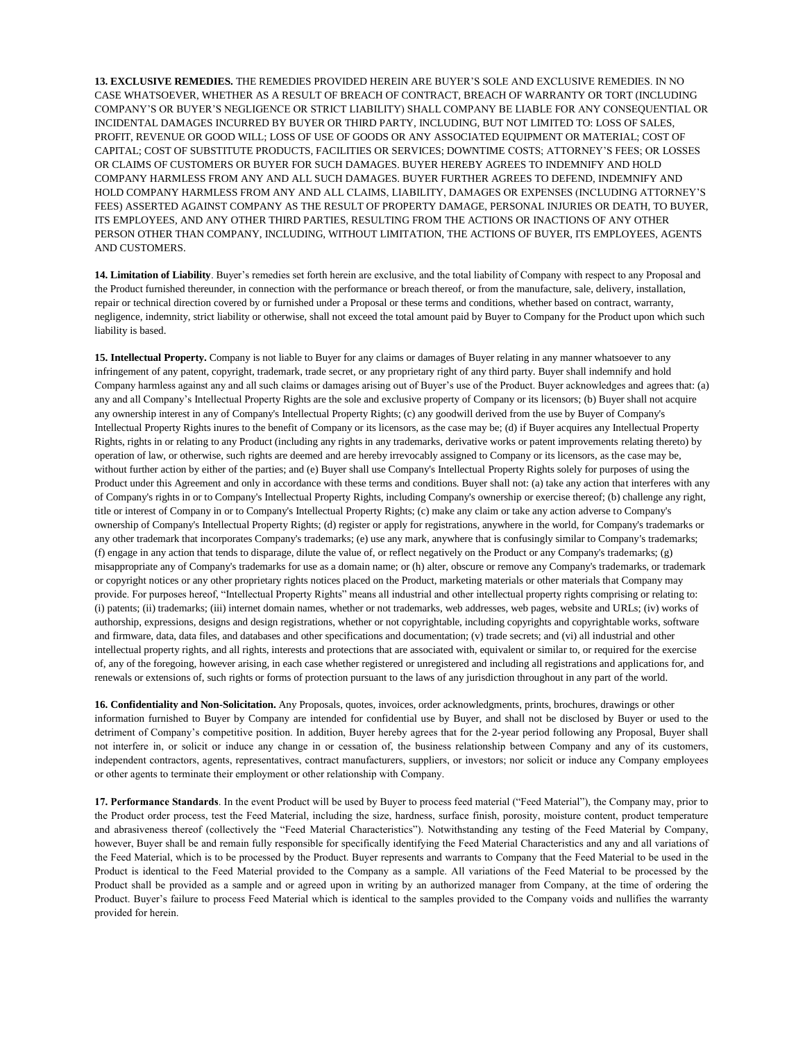**13. EXCLUSIVE REMEDIES.** THE REMEDIES PROVIDED HEREIN ARE BUYER'S SOLE AND EXCLUSIVE REMEDIES. IN NO CASE WHATSOEVER, WHETHER AS A RESULT OF BREACH OF CONTRACT, BREACH OF WARRANTY OR TORT (INCLUDING COMPANY'S OR BUYER'S NEGLIGENCE OR STRICT LIABILITY) SHALL COMPANY BE LIABLE FOR ANY CONSEQUENTIAL OR INCIDENTAL DAMAGES INCURRED BY BUYER OR THIRD PARTY, INCLUDING, BUT NOT LIMITED TO: LOSS OF SALES, PROFIT, REVENUE OR GOOD WILL; LOSS OF USE OF GOODS OR ANY ASSOCIATED EQUIPMENT OR MATERIAL; COST OF CAPITAL; COST OF SUBSTITUTE PRODUCTS, FACILITIES OR SERVICES; DOWNTIME COSTS; ATTORNEY'S FEES; OR LOSSES OR CLAIMS OF CUSTOMERS OR BUYER FOR SUCH DAMAGES. BUYER HEREBY AGREES TO INDEMNIFY AND HOLD COMPANY HARMLESS FROM ANY AND ALL SUCH DAMAGES. BUYER FURTHER AGREES TO DEFEND, INDEMNIFY AND HOLD COMPANY HARMLESS FROM ANY AND ALL CLAIMS, LIABILITY, DAMAGES OR EXPENSES (INCLUDING ATTORNEY'S FEES) ASSERTED AGAINST COMPANY AS THE RESULT OF PROPERTY DAMAGE, PERSONAL INJURIES OR DEATH, TO BUYER, ITS EMPLOYEES, AND ANY OTHER THIRD PARTIES, RESULTING FROM THE ACTIONS OR INACTIONS OF ANY OTHER PERSON OTHER THAN COMPANY, INCLUDING, WITHOUT LIMITATION, THE ACTIONS OF BUYER, ITS EMPLOYEES, AGENTS AND CUSTOMERS.

**14. Limitation of Liability**. Buyer's remedies set forth herein are exclusive, and the total liability of Company with respect to any Proposal and the Product furnished thereunder, in connection with the performance or breach thereof, or from the manufacture, sale, delivery, installation, repair or technical direction covered by or furnished under a Proposal or these terms and conditions, whether based on contract, warranty, negligence, indemnity, strict liability or otherwise, shall not exceed the total amount paid by Buyer to Company for the Product upon which such liability is based.

**15. Intellectual Property.** Company is not liable to Buyer for any claims or damages of Buyer relating in any manner whatsoever to any infringement of any patent, copyright, trademark, trade secret, or any proprietary right of any third party. Buyer shall indemnify and hold Company harmless against any and all such claims or damages arising out of Buyer's use of the Product. Buyer acknowledges and agrees that: (a) any and all Company's Intellectual Property Rights are the sole and exclusive property of Company or its licensors; (b) Buyer shall not acquire any ownership interest in any of Company's Intellectual Property Rights; (c) any goodwill derived from the use by Buyer of Company's Intellectual Property Rights inures to the benefit of Company or its licensors, as the case may be; (d) if Buyer acquires any Intellectual Property Rights, rights in or relating to any Product (including any rights in any trademarks, derivative works or patent improvements relating thereto) by operation of law, or otherwise, such rights are deemed and are hereby irrevocably assigned to Company or its licensors, as the case may be, without further action by either of the parties; and (e) Buyer shall use Company's Intellectual Property Rights solely for purposes of using the Product under this Agreement and only in accordance with these terms and conditions. Buyer shall not: (a) take any action that interferes with any of Company's rights in or to Company's Intellectual Property Rights, including Company's ownership or exercise thereof; (b) challenge any right, title or interest of Company in or to Company's Intellectual Property Rights; (c) make any claim or take any action adverse to Company's ownership of Company's Intellectual Property Rights; (d) register or apply for registrations, anywhere in the world, for Company's trademarks or any other trademark that incorporates Company's trademarks; (e) use any mark, anywhere that is confusingly similar to Company's trademarks; (f) engage in any action that tends to disparage, dilute the value of, or reflect negatively on the Product or any Company's trademarks; (g) misappropriate any of Company's trademarks for use as a domain name; or (h) alter, obscure or remove any Company's trademarks, or trademark or copyright notices or any other proprietary rights notices placed on the Product, marketing materials or other materials that Company may provide. For purposes hereof, "Intellectual Property Rights" means all industrial and other intellectual property rights comprising or relating to: (i) patents; (ii) trademarks; (iii) internet domain names, whether or not trademarks, web addresses, web pages, website and URLs; (iv) works of authorship, expressions, designs and design registrations, whether or not copyrightable, including copyrights and copyrightable works, software and firmware, data, data files, and databases and other specifications and documentation; (v) trade secrets; and (vi) all industrial and other intellectual property rights, and all rights, interests and protections that are associated with, equivalent or similar to, or required for the exercise of, any of the foregoing, however arising, in each case whether registered or unregistered and including all registrations and applications for, and renewals or extensions of, such rights or forms of protection pursuant to the laws of any jurisdiction throughout in any part of the world.

**16. Confidentiality and Non-Solicitation.** Any Proposals, quotes, invoices, order acknowledgments, prints, brochures, drawings or other information furnished to Buyer by Company are intended for confidential use by Buyer, and shall not be disclosed by Buyer or used to the detriment of Company's competitive position. In addition, Buyer hereby agrees that for the 2-year period following any Proposal, Buyer shall not interfere in, or solicit or induce any change in or cessation of, the business relationship between Company and any of its customers, independent contractors, agents, representatives, contract manufacturers, suppliers, or investors; nor solicit or induce any Company employees or other agents to terminate their employment or other relationship with Company.

**17. Performance Standards**. In the event Product will be used by Buyer to process feed material ("Feed Material"), the Company may, prior to the Product order process, test the Feed Material, including the size, hardness, surface finish, porosity, moisture content, product temperature and abrasiveness thereof (collectively the "Feed Material Characteristics"). Notwithstanding any testing of the Feed Material by Company, however, Buyer shall be and remain fully responsible for specifically identifying the Feed Material Characteristics and any and all variations of the Feed Material, which is to be processed by the Product. Buyer represents and warrants to Company that the Feed Material to be used in the Product is identical to the Feed Material provided to the Company as a sample. All variations of the Feed Material to be processed by the Product shall be provided as a sample and or agreed upon in writing by an authorized manager from Company, at the time of ordering the Product. Buyer's failure to process Feed Material which is identical to the samples provided to the Company voids and nullifies the warranty provided for herein.